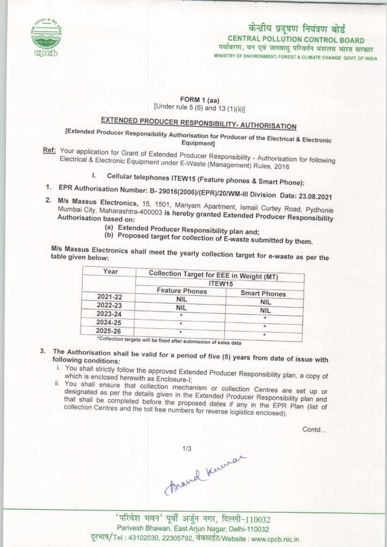

## केन्द्रीय प्रदूषण नियंत्रण बोर्ड CENTRAL POLLUTION CONTROL BOARD पर्यावरण, वन एवं जलवायु परिवर्तन मंत्रालय भारत सरकार

MINISTRY OF ENVIRONMENT, FOREST & CLIMATE CHANGE GOVT. OF INDIA

### FORM 1 (aa) [Under rule 5 (6) and 13 (1)(ii)]

# EXTENDED PRODUCER RESPONSIBILITY- AUTHORISATION

[Extended Producer Responsibility Authorisation for Producer of the Electrical & Electronic Equipment]

- tef: Your application for Grant of Extended Producer Responsibility of Authorisation for authorisation for the second second in the second second second in the second second second second second second second second second Electrical & Electronic Equipment under E-Waste (Management) - Authorisati Electrical & Electronic Equipment under E-Waste (Management) Rules, 2016<br>I. Cellular telephones ITEW15 (Feature phones & Smart Phone):
	-
- 1. Cellular telephones ITEW15 (Feature phones & Smart Phone):<br>1. EPR Authorisation Number: B- 29016(2006)/(EPR)/20/WM-III Division Date: 23.39.303
- 2. M/s Maxsus Electronics, 15, 1501, Marivam Apartment, Ismail Curtee, 23,08,2021<br>2. M/s Maxsus Electronics, 15, 1501, Marivam Apartment, Ismail Curtett, Ro 2. M/s Maxsus Electronics, 15, 1501, Mariyam Apartment, Ismail Curtey Road, Pydhonie Mumbai City, Maharashtra-400003 is hereby granted Extended Producer Responsibility
	- (a)Extended Producer Responsibility plan and;
	- (b) Proposed target for collection of E-waste submitted by them.

M/s Maxsus Electronics shall meet the yearly collection target for e-waste as per the table given below:

| Year    | Collection Target for EEE in Weight (MT)<br>ITEW15 |            |
|---------|----------------------------------------------------|------------|
|         |                                                    |            |
|         | 2021-22                                            | <b>NIL</b> |
| 2022-23 | <b>NIL</b>                                         | <b>NIL</b> |
| 2023-24 |                                                    | <b>NIL</b> |
|         |                                                    |            |
| 2024-25 |                                                    |            |
| 2025-26 |                                                    |            |

- 3. The Authorisation shall be valid for following conditions:
	- i. You shall strictly follow the approved Extended Producer Responsibility plan, a copy of the copy of the copy of the copy of the copy of the copy of the copy of the copy of the copy of the copy of the copy of the copy of which is enclosed herewith as Enclosure-I;
	- ii. You shall ensure that collection mechanism or collection Centres are set up or collection Centres are set u designated as per the details given in the Extended Producer Response are set up or designated as per the details given in the Extended Producer Responsibility plan and<br>that shall be completed before the proposed dates if any in the EPR Plan (list of collection Centres and the toll free numbers for reverse logistics enclosed);

Contd...

march Kurran

'परिवेश भवन' पूर्वी अर्जुन नगर, दिल्ली-110032 Parivesh Bhawan, East Arjun Nagar, Delhi-110032 दूरभाष/Tel: 43102030, 22305792, वेबसाईट/Website : www.cpcb.nic.in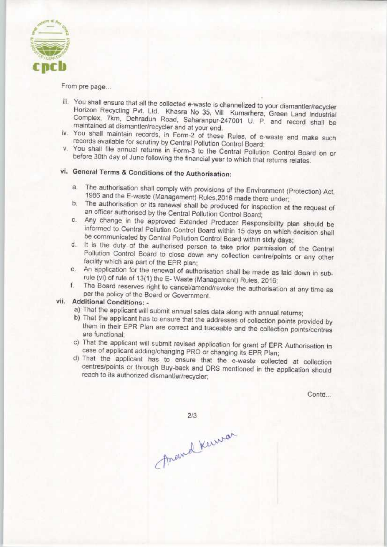

From pre page...

- iii. You shall ensure that all the collected e-waste is channelized to your dismantler/recycler Horizon Recycling Pvt. Ltd. Khasra No 35, Vill Kumarhera, Green Land Industrial Complex, 7km, Dehradun Road, Saharanpur-247001 U. P. and record shall be maintained at dismantler/recycler and at your end.
- iv. You shall maintain records, in Form-2 of these Rules, of e-waste and make such records available for scrutiny by Central Pollution Control Board;
- v. You shall file annual returns in Form-3 to the Central Pollution Control Board on or before 30th day of June following the financial year to which that returns relates.

## vi. General Terms & Conditions of the Authorisation:

- a.The authorisation shall comply with provisions of the Environment (Protection) Act, 1986 and fhe E-waste (Management) Rules.2016 made there under;
- b. The authorisation or its renewal shall be produced for inspection at the request of an officer authorised by the Central Pollution Control Board:
- c.Any charge in the approved Extended Producer Responsibility plan should be informed to Central Pollution Control Board within 15 days on which decision shall be communicated by Central Pollution Control Board within sixty days;
- d. It is the duty of the authorised person to take prior permission of the Central Pollution Control Board to close down any collection centre/points or any other facility which are part of the EPR plan;
- e.An application for the renewal of authorisation shall be made as laid down in subrule (vi) of rule of 13(1) the E- Waste (Management) Rules, 2016;
- f. The Board reserves right to cancel/amend/revoke the authorisation at any time as per the policy of the Board or Government.

#### vii. Additional Conditions: •

- a) That the applicant will submit annual sales data along with annual returns;
- b) That the applicant has to ensure that the addresses of collection points provided by them in their EPR Plan are correct and traceable and the collection points/centres are functional;
- c) That the applicant will submit revised application for grant of EPR Authorisation in case of applicant adding/changing PRO or changing its EPR Plan;
- d) That the applicant has to ensure that the e-waste collected at collection centres/points or through Buy-back and DRS mentioned in the application should reach to its authorized dismantler/recycler,

Contd...

Anamal Kuwar

 $2/3$